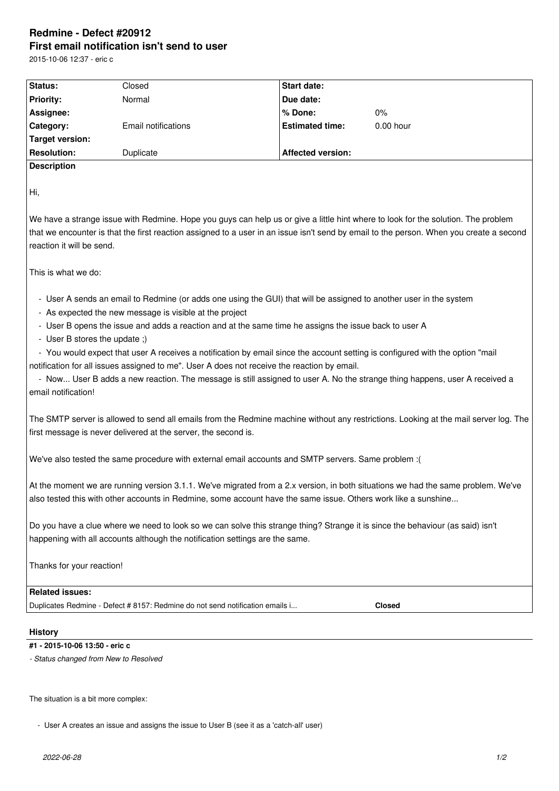# **Redmine - Defect #20912 First email notification isn't send to user**

2015-10-06 12:37 - eric c

| <b>Status:</b>     | Closed              | <b>Start date:</b>       |             |  |
|--------------------|---------------------|--------------------------|-------------|--|
| <b>Priority:</b>   | Normal              | Due date:                |             |  |
| Assignee:          |                     | l % Done:                | $0\%$       |  |
| <b>Category:</b>   | Email notifications | <b>Estimated time:</b>   | $0.00$ hour |  |
| Target version:    |                     |                          |             |  |
| <b>Resolution:</b> | Duplicate           | <b>Affected version:</b> |             |  |
| <b>Description</b> |                     |                          |             |  |

Hi,

We have a strange issue with Redmine. Hope you guys can help us or give a little hint where to look for the solution. The problem that we encounter is that the first reaction assigned to a user in an issue isn't send by email to the person. When you create a second reaction it will be send.

This is what we do:

- User A sends an email to Redmine (or adds one using the GUI) that will be assigned to another user in the system

- As expected the new message is visible at the project

- User B opens the issue and adds a reaction and at the same time he assigns the issue back to user A

- User B stores the update ;)

 - You would expect that user A receives a notification by email since the account setting is configured with the option "mail notification for all issues assigned to me". User A does not receive the reaction by email.

 - Now... User B adds a new reaction. The message is still assigned to user A. No the strange thing happens, user A received a email notification!

The SMTP server is allowed to send all emails from the Redmine machine without any restrictions. Looking at the mail server log. The first message is never delivered at the server, the second is.

We've also tested the same procedure with external email accounts and SMTP servers. Same problem :(

At the moment we are running version 3.1.1. We've migrated from a 2.x version, in both situations we had the same problem. We've also tested this with other accounts in Redmine, some account have the same issue. Others work like a sunshine...

Do you have a clue where we need to look so we can solve this strange thing? Strange it is since the behaviour (as said) isn't happening with all accounts although the notification settings are the same.

Thanks for your reaction!

## **Related issues:**

Duplicates Redmine - Defect # 8157: Redmine do not send notification emails i... **Closed**

#### **History**

#### **#1 - 2015-10-06 13:50 - eric c**

*- Status changed from New to Resolved*

The situation is a bit more complex:

- User A creates an issue and assigns the issue to User B (see it as a 'catch-all' user)